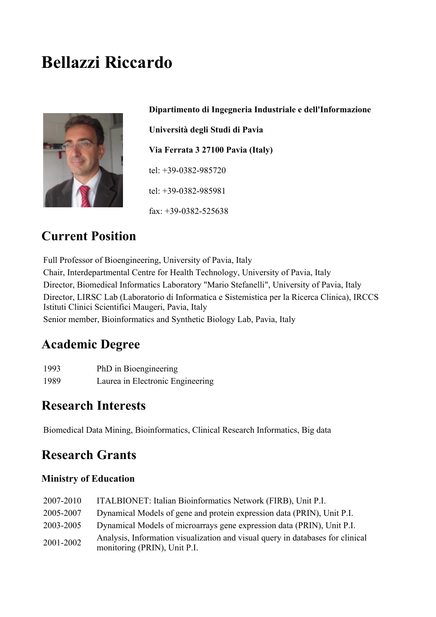# **Bellazzi Riccardo**



**Dipartimento di Ingegneria Industriale e dell'Informazione Università degli Studi di Pavia Via Ferrata 3 27100 Pavia (Italy)** tel: +39-0382-985720 tel: +39-0382-985981 fax: +39-0382-525638

## **Current Position**

Full Professor of Bioengineering, University of Pavia, Italy Chair, Interdepartmental Centre for Health Technology, University of Pavia, Italy Director, Biomedical Informatics Laboratory "Mario Stefanelli", University of Pavia, Italy Director, LIRSC Lab (Laboratorio di Informatica e Sistemistica per la Ricerca Clinica), IRCCS Istituti Clinici Scientifici Maugeri, Pavia, Italy Senior member, Bioinformatics and Synthetic Biology Lab, Pavia, Italy

## **Academic Degree**

| 1993 | PhD in Bioengineering            |
|------|----------------------------------|
| 1989 | Laurea in Electronic Engineering |

## **Research Interests**

Biomedical Data Mining, Bioinformatics, Clinical Research Informatics, Big data

## **Research Grants**

### **Ministry of Education**

| 2007-2010 | ITALBIONET: Italian Bioinformatics Network (FIRB), Unit P.I.                                                   |
|-----------|----------------------------------------------------------------------------------------------------------------|
| 2005-2007 | Dynamical Models of gene and protein expression data (PRIN), Unit P.I.                                         |
| 2003-2005 | Dynamical Models of microarrays gene expression data (PRIN), Unit P.I.                                         |
| 2001-2002 | Analysis, Information visualization and visual query in databases for clinical<br>monitoring (PRIN), Unit P.I. |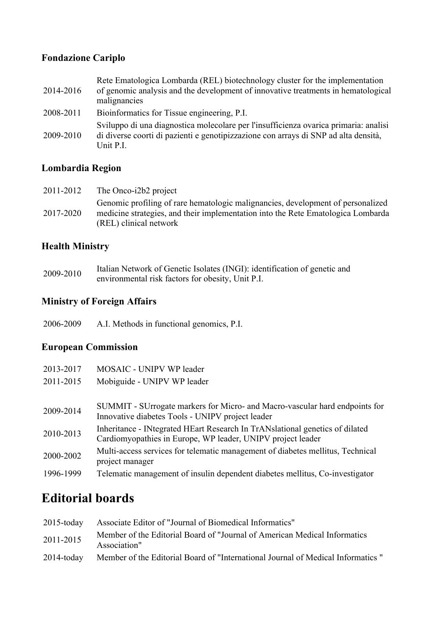### **Fondazione Cariplo**

| 2014-2016 | Rete Ematologica Lombarda (REL) biotechnology cluster for the implementation<br>of genomic analysis and the development of innovative treatments in hematological<br>malignancies        |
|-----------|------------------------------------------------------------------------------------------------------------------------------------------------------------------------------------------|
| 2008-2011 | Bioinformatics for Tissue engineering, P.I.                                                                                                                                              |
| 2009-2010 | Sviluppo di una diagnostica molecolare per l'insufficienza ovarica primaria: analisi<br>di diverse coorti di pazienti e genotipizzazione con arrays di SNP ad alta densità,<br>Unit P.I. |

### **Lombardia Region**

| 2011-2012 | The Onco-i2b2 project                                                                                                                                                                         |
|-----------|-----------------------------------------------------------------------------------------------------------------------------------------------------------------------------------------------|
| 2017-2020 | Genomic profiling of rare hematologic malignancies, development of personalized<br>medicine strategies, and their implementation into the Rete Ematologica Lombarda<br>(REL) clinical network |

### **Health Ministry**

| 2009-2010 | Italian Network of Genetic Isolates (INGI): identification of genetic and |
|-----------|---------------------------------------------------------------------------|
|           | environmental risk factors for obesity, Unit P.I.                         |

### **Ministry of Foreign Affairs**

2006-2009 A.I. Methods in functional genomics, P.I.

### **European Commission**

| 2013-2017 | MOSAIC - UNIPV WP leader                                                                                                                    |
|-----------|---------------------------------------------------------------------------------------------------------------------------------------------|
| 2011-2015 | Mobiguide - UNIPV WP leader                                                                                                                 |
| 2009-2014 | SUMMIT - SUrrogate markers for Micro- and Macro-vascular hard endpoints for<br>Innovative diabetes Tools - UNIPV project leader             |
| 2010-2013 | Inheritance - INtegrated HEart Research In TrANslational genetics of dilated<br>Cardiomyopathies in Europe, WP leader, UNIPV project leader |
| 2000-2002 | Multi-access services for telematic management of diabetes mellitus, Technical<br>project manager                                           |
| 1996-1999 | Telematic management of insulin dependent diabetes mellitus, Co-investigator                                                                |
|           |                                                                                                                                             |

# **Editorial boards**

| $2015$ -today | Associate Editor of "Journal of Biomedical Informatics"                                    |
|---------------|--------------------------------------------------------------------------------------------|
| 2011-2015     | Member of the Editorial Board of "Journal of American Medical Informatics"<br>Association" |
| $2014$ -today | Member of the Editorial Board of "International Journal of Medical Informatics"            |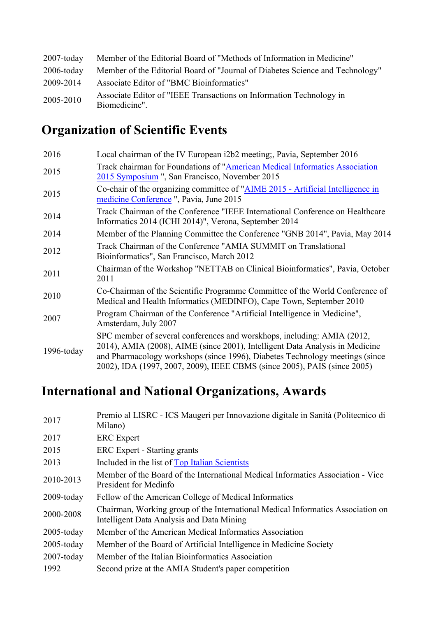| $2007$ -today | Member of the Editorial Board of "Methods of Information in Medicine"                |
|---------------|--------------------------------------------------------------------------------------|
| $2006$ -today | Member of the Editorial Board of "Journal of Diabetes Science and Technology"        |
| 2009-2014     | Associate Editor of "BMC Bioinformatics"                                             |
| 2005-2010     | Associate Editor of "IEEE Transactions on Information Technology in<br>Biomedicine". |

# **Organization of Scientific Events**

| 2016       | Local chairman of the IV European i2b2 meeting; Pavia, September 2016                                                                                                                                                                                                                                               |
|------------|---------------------------------------------------------------------------------------------------------------------------------------------------------------------------------------------------------------------------------------------------------------------------------------------------------------------|
| 2015       | Track chairman for Foundations of "American Medical Informatics Association<br>2015 Symposium ", San Francisco, November 2015                                                                                                                                                                                       |
| 2015       | Co-chair of the organizing committee of "AIME 2015 - Artificial Intelligence in<br>medicine Conference ", Pavia, June 2015                                                                                                                                                                                          |
| 2014       | Track Chairman of the Conference "IEEE International Conference on Healthcare<br>Informatics 2014 (ICHI 2014)", Verona, September 2014                                                                                                                                                                              |
| 2014       | Member of the Planning Committee the Conference "GNB 2014", Pavia, May 2014                                                                                                                                                                                                                                         |
| 2012       | Track Chairman of the Conference "AMIA SUMMIT on Translational<br>Bioinformatics", San Francisco, March 2012                                                                                                                                                                                                        |
| 2011       | Chairman of the Workshop "NETTAB on Clinical Bioinformatics", Pavia, October<br>2011                                                                                                                                                                                                                                |
| 2010       | Co-Chairman of the Scientific Programme Committee of the World Conference of<br>Medical and Health Informatics (MEDINFO), Cape Town, September 2010                                                                                                                                                                 |
| 2007       | Program Chairman of the Conference "Artificial Intelligence in Medicine",<br>Amsterdam, July 2007                                                                                                                                                                                                                   |
| 1996-today | SPC member of several conferences and worskhops, including: AMIA (2012,<br>2014), AMIA (2008), AIME (since 2001), Intelligent Data Analysis in Medicine<br>and Pharmacology workshops (since 1996), Diabetes Technology meetings (since<br>2002), IDA (1997, 2007, 2009), IEEE CBMS (since 2005), PAIS (since 2005) |

# **International and National Organizations, Awards**

| Premio al LISRC - ICS Maugeri per Innovazione digitale in Sanità (Politecnico di<br>Milano)                                  |
|------------------------------------------------------------------------------------------------------------------------------|
| <b>ERC</b> Expert                                                                                                            |
| ERC Expert - Starting grants                                                                                                 |
| Included in the list of Top Italian Scientists                                                                               |
| Member of the Board of the International Medical Informatics Association - Vice<br>President for Medinfo                     |
| Fellow of the American College of Medical Informatics                                                                        |
| Chairman, Working group of the International Medical Informatics Association on<br>Intelligent Data Analysis and Data Mining |
| Member of the American Medical Informatics Association                                                                       |
| Member of the Board of Artificial Intelligence in Medicine Society                                                           |
| Member of the Italian Bioinformatics Association                                                                             |
| Second prize at the AMIA Student's paper competition                                                                         |
|                                                                                                                              |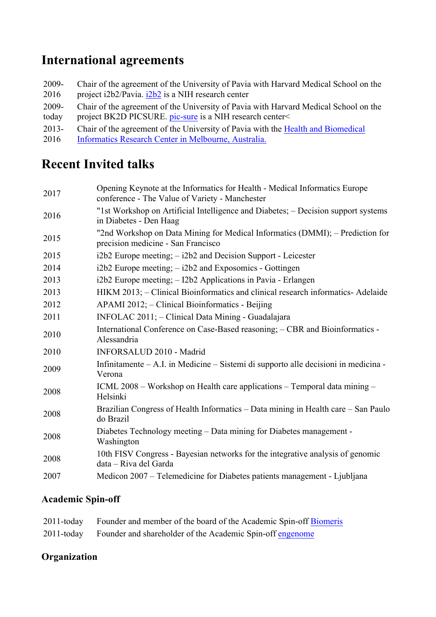## **International agreements**

- 2009- Chair of the agreement of the University of Pavia with Harvard Medical School on the
- 2016 project i2b2/Pavia. i2b2 is a NIH research center
- 2009 today Chair of the agreement of the University of Pavia with Harvard Medical School on the project BK2D PICSURE. pic-sure is a NIH research center<
- 2013- Chair of the agreement of the University of Pavia with the Health and Biomedical
- 2016 Informatics Research Center in Melbourne, Australia.

## **Recent Invited talks**

| 2017 | Opening Keynote at the Informatics for Health - Medical Informatics Europe<br>conference - The Value of Variety - Manchester |
|------|------------------------------------------------------------------------------------------------------------------------------|
| 2016 | "1st Workshop on Artificial Intelligence and Diabetes; - Decision support systems<br>in Diabetes - Den Haag                  |
| 2015 | "2nd Workshop on Data Mining for Medical Informatics (DMMI); - Prediction for<br>precision medicine - San Francisco          |
| 2015 | i2b2 Europe meeting; – i2b2 and Decision Support - Leicester                                                                 |
| 2014 | i2b2 Europe meeting; - i2b2 and Exposomics - Gottingen                                                                       |
| 2013 | i2b2 Europe meeting; - I2b2 Applications in Pavia - Erlangen                                                                 |
| 2013 | HIKM 2013; – Clinical Bioinformatics and clinical research informatics- Adelaide                                             |
| 2012 | APAMI 2012; - Clinical Bioinformatics - Beijing                                                                              |
| 2011 | INFOLAC 2011; - Clinical Data Mining - Guadalajara                                                                           |
| 2010 | International Conference on Case-Based reasoning; - CBR and Bioinformatics -<br>Alessandria                                  |
| 2010 | <b>INFORSALUD 2010 - Madrid</b>                                                                                              |
| 2009 | Infinitamente – A.I. in Medicine – Sistemi di supporto alle decisioni in medicina -<br>Verona                                |
| 2008 | ICML 2008 - Workshop on Health care applications - Temporal data mining -<br>Helsinki                                        |
| 2008 | Brazilian Congress of Health Informatics - Data mining in Health care - San Paulo<br>do Brazil                               |
| 2008 | Diabetes Technology meeting – Data mining for Diabetes management -<br>Washington                                            |
| 2008 | 10th FISV Congress - Bayesian networks for the integrative analysis of genomic<br>data – Riva del Garda                      |
| 2007 | Medicon 2007 – Telemedicine for Diabetes patients management - Ljubljana                                                     |

### **Academic Spin-off**

| 2011-today Founder and member of the board of the Academic Spin-off Biomeris |
|------------------------------------------------------------------------------|
| 2011-today Founder and shareholder of the Academic Spin-off engenome         |

### **Organization**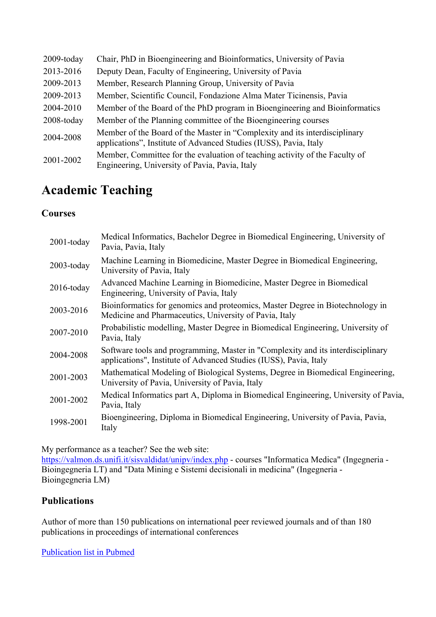| $2009$ -today  | Chair, PhD in Bioengineering and Bioinformatics, University of Pavia                                                                            |
|----------------|-------------------------------------------------------------------------------------------------------------------------------------------------|
| 2013-2016      | Deputy Dean, Faculty of Engineering, University of Pavia                                                                                        |
| 2009-2013      | Member, Research Planning Group, University of Pavia                                                                                            |
| 2009-2013      | Member, Scientific Council, Fondazione Alma Mater Ticinensis, Pavia                                                                             |
| 2004-2010      | Member of the Board of the PhD program in Bioengineering and Bioinformatics                                                                     |
| $2008 -$ today | Member of the Planning committee of the Bioengineering courses                                                                                  |
| 2004-2008      | Member of the Board of the Master in "Complexity and its interdisciplinary<br>applications", Institute of Advanced Studies (IUSS), Pavia, Italy |
| 2001-2002      | Member, Committee for the evaluation of teaching activity of the Faculty of<br>Engineering, University of Pavia, Pavia, Italy                   |

## **Academic Teaching**

#### **Courses**

| $2001$ -today | Medical Informatics, Bachelor Degree in Biomedical Engineering, University of<br>Pavia, Pavia, Italy                                                 |
|---------------|------------------------------------------------------------------------------------------------------------------------------------------------------|
| $2003$ -today | Machine Learning in Biomedicine, Master Degree in Biomedical Engineering,<br>University of Pavia, Italy                                              |
| $2016$ -today | Advanced Machine Learning in Biomedicine, Master Degree in Biomedical<br>Engineering, University of Pavia, Italy                                     |
| 2003-2016     | Bioinformatics for genomics and proteomics, Master Degree in Biotechnology in<br>Medicine and Pharmaceutics, University of Pavia, Italy              |
| 2007-2010     | Probabilistic modelling, Master Degree in Biomedical Engineering, University of<br>Pavia, Italy                                                      |
| 2004-2008     | Software tools and programming, Master in "Complexity and its interdisciplinary<br>applications", Institute of Advanced Studies (IUSS), Pavia, Italy |
| 2001-2003     | Mathematical Modeling of Biological Systems, Degree in Biomedical Engineering,<br>University of Pavia, University of Pavia, Italy                    |
| 2001-2002     | Medical Informatics part A, Diploma in Biomedical Engineering, University of Pavia,<br>Pavia, Italy                                                  |
| 1998-2001     | Bioengineering, Diploma in Biomedical Engineering, University of Pavia, Pavia,<br>Italy                                                              |
|               |                                                                                                                                                      |

My performance as a teacher? See the web site:

https://valmon.ds.unifi.it/sisvaldidat/unipv/index.php - courses "Informatica Medica" (Ingegneria - Bioingegneria LT) and "Data Mining e Sistemi decisionali in medicina" (Ingegneria - Bioingegneria LM)

### **Publications**

Author of more than 150 publications on international peer reviewed journals and of than 180 publications in proceedings of international conferences

Publication list in Pubmed